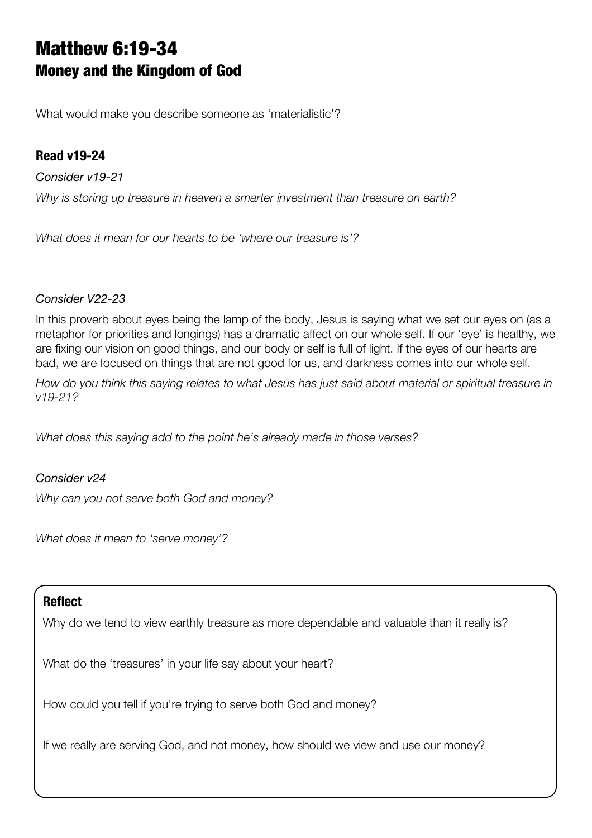# Matthew 6:19-34 Money and the Kingdom of God

What would make you describe someone as 'materialistic'?

## **Read v19-24**

*Consider v19-21 Why is storing up treasure in heaven a smarter investment than treasure on earth?*

*What does it mean for our hearts to be 'where our treasure is'?*

#### *Consider V22-23*

In this proverb about eyes being the lamp of the body, Jesus is saying what we set our eyes on (as a metaphor for priorities and longings) has a dramatic affect on our whole self. If our 'eye' is healthy, we are fixing our vision on good things, and our body or self is full of light. If the eyes of our hearts are bad, we are focused on things that are not good for us, and darkness comes into our whole self.

*How do you think this saying relates to what Jesus has just said about material or spiritual treasure in v19-21?*

*What does this saying add to the point he's already made in those verses?*

#### *Consider v24*

*Why can you not serve both God and money?*

*What does it mean to 'serve money'?*

#### **Reflect**

Why do we tend to view earthly treasure as more dependable and valuable than it really is?

What do the 'treasures' in your life say about your heart?

How could you tell if you're trying to serve both God and money?

If we really are serving God, and not money, how should we view and use our money?